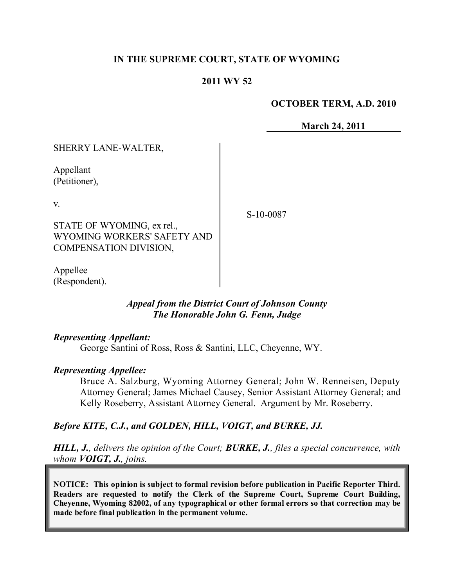#### **IN THE SUPREME COURT, STATE OF WYOMING**

#### **2011 WY 52**

#### **OCTOBER TERM, A.D. 2010**

**March 24, 2011**

| SHERRY LANE-WALTER,                                                                 |           |
|-------------------------------------------------------------------------------------|-----------|
| Appellant<br>(Petitioner),                                                          |           |
| V.                                                                                  | S-10-0087 |
| STATE OF WYOMING, ex rel.,<br>WYOMING WORKERS' SAFETY AND<br>COMPENSATION DIVISION, |           |
| lee<br>Appel                                                                        |           |

*Appeal from the District Court of Johnson County The Honorable John G. Fenn, Judge* 

#### *Representing Appellant:*

(Respondent).

George Santini of Ross, Ross & Santini, LLC, Cheyenne, WY.

#### *Representing Appellee:*

Bruce A. Salzburg, Wyoming Attorney General; John W. Renneisen, Deputy Attorney General; James Michael Causey, Senior Assistant Attorney General; and Kelly Roseberry, Assistant Attorney General. Argument by Mr. Roseberry.

#### *Before KITE, C.J., and GOLDEN, HILL, VOIGT, and BURKE, JJ.*

*HILL, J., delivers the opinion of the Court; BURKE, J., files a special concurrence, with whom VOIGT, J., joins.*

**NOTICE: This opinion is subject to formal revision before publication in Pacific Reporter Third. Readers are requested to notify the Clerk of the Supreme Court, Supreme Court Building, Cheyenne, Wyoming 82002, of any typographical or other formal errors so that correction may be made before final publication in the permanent volume.**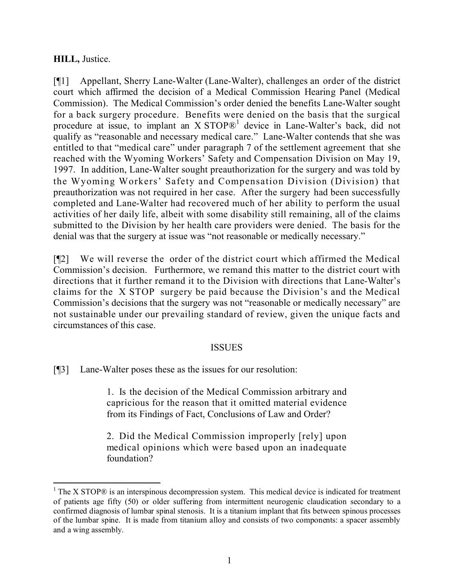# **HILL,** Justice.

[¶1] Appellant, Sherry Lane-Walter (Lane-Walter), challenges an order of the district court which affirmed the decision of a Medical Commission Hearing Panel (Medical Commission). The Medical Commission's order denied the benefits Lane-Walter sought for a back surgery procedure. Benefits were denied on the basis that the surgical procedure at issue, to implant an X STOP®<sup>1</sup> device in Lane-Walter's back, did not qualify as "reasonable and necessary medical care." Lane-Walter contends that she was entitled to that "medical care" under paragraph 7 of the settlement agreement that she reached with the Wyoming Workers' Safety and Compensation Division on May 19, 1997. In addition, Lane-Walter sought preauthorization for the surgery and was told by the Wyoming Workers' Safety and Compensation Division (Division) that preauthorization was not required in her case. After the surgery had been successfully completed and Lane-Walter had recovered much of her ability to perform the usual activities of her daily life, albeit with some disability still remaining, all of the claims submitted to the Division by her health care providers were denied. The basis for the denial was that the surgery at issue was "not reasonable or medically necessary."

[¶2] We will reverse the order of the district court which affirmed the Medical Commission's decision. Furthermore, we remand this matter to the district court with directions that it further remand it to the Division with directions that Lane-Walter's claims for the X STOP surgery be paid because the Division's and the Medical Commission's decisions that the surgery was not "reasonable or medically necessary" are not sustainable under our prevailing standard of review, given the unique facts and circumstances of this case.

# ISSUES

[¶3] Lane-Walter poses these as the issues for our resolution:

 $\overline{a}$ 

1. Is the decision of the Medical Commission arbitrary and capricious for the reason that it omitted material evidence from its Findings of Fact, Conclusions of Law and Order?

2. Did the Medical Commission improperly [rely] upon medical opinions which were based upon an inadequate foundation?

 $1$  The X STOP $\odot$  is an interspinous decompression system. This medical device is indicated for treatment of patients age fifty (50) or older suffering from intermittent neurogenic claudication secondary to a confirmed diagnosis of lumbar spinal stenosis. It is a titanium implant that fits between spinous processes of the lumbar spine. It is made from titanium alloy and consists of two components: a spacer assembly and a wing assembly.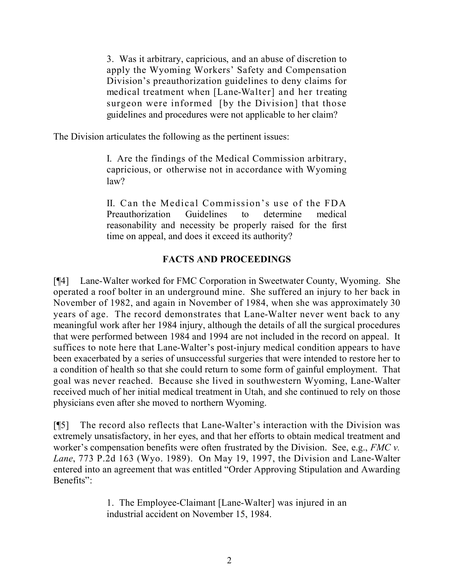3. Was it arbitrary, capricious, and an abuse of discretion to apply the Wyoming Workers' Safety and Compensation Division's preauthorization guidelines to deny claims for medical treatment when [Lane-Walter] and her treating surgeon were informed [by the Division] that those guidelines and procedures were not applicable to her claim?

The Division articulates the following as the pertinent issues:

I. Are the findings of the Medical Commission arbitrary, capricious, or otherwise not in accordance with Wyoming law?

II. Can the Medical Commission's use of the FDA Preauthorization Guidelines to determine medical reasonability and necessity be properly raised for the first time on appeal, and does it exceed its authority?

# **FACTS AND PROCEEDINGS**

[¶4] Lane-Walter worked for FMC Corporation in Sweetwater County, Wyoming. She operated a roof bolter in an underground mine. She suffered an injury to her back in November of 1982, and again in November of 1984, when she was approximately 30 years of age. The record demonstrates that Lane-Walter never went back to any meaningful work after her 1984 injury, although the details of all the surgical procedures that were performed between 1984 and 1994 are not included in the record on appeal. It suffices to note here that Lane-Walter's post-injury medical condition appears to have been exacerbated by a series of unsuccessful surgeries that were intended to restore her to a condition of health so that she could return to some form of gainful employment. That goal was never reached. Because she lived in southwestern Wyoming, Lane-Walter received much of her initial medical treatment in Utah, and she continued to rely on those physicians even after she moved to northern Wyoming.

[¶5] The record also reflects that Lane-Walter's interaction with the Division was extremely unsatisfactory, in her eyes, and that her efforts to obtain medical treatment and worker's compensation benefits were often frustrated by the Division. See, e.g., *FMC v. Lane*, 773 P.2d 163 (Wyo. 1989). On May 19, 1997, the Division and Lane-Walter entered into an agreement that was entitled "Order Approving Stipulation and Awarding Benefits":

> 1. The Employee-Claimant [Lane-Walter] was injured in an industrial accident on November 15, 1984.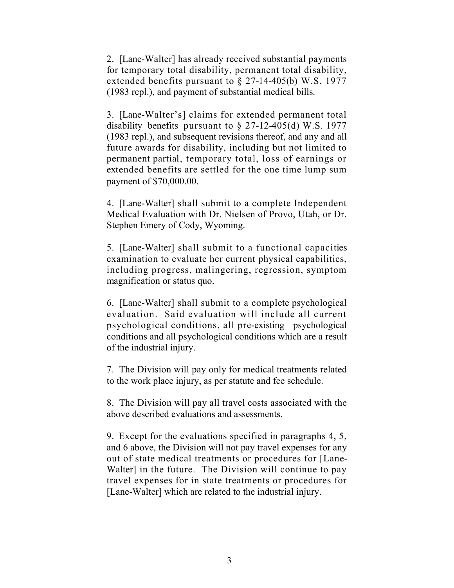2. [Lane-Walter] has already received substantial payments for temporary total disability, permanent total disability, extended benefits pursuant to § 27-14-405(b) W.S. 1977 (1983 repl.), and payment of substantial medical bills.

3. [Lane-Walter's] claims for extended permanent total disability benefits pursuant to  $\S$  27-12-405(d) W.S. 1977 (1983 repl.), and subsequent revisions thereof, and any and all future awards for disability, including but not limited to permanent partial, temporary total, loss of earnings or extended benefits are settled for the one time lump sum payment of \$70,000.00.

4. [Lane-Walter] shall submit to a complete Independent Medical Evaluation with Dr. Nielsen of Provo, Utah, or Dr. Stephen Emery of Cody, Wyoming.

5. [Lane-Walter] shall submit to a functional capacities examination to evaluate her current physical capabilities, including progress, malingering, regression, symptom magnification or status quo.

6. [Lane-Walter] shall submit to a complete psychological evaluation. Said evaluation will include all current psychological conditions, all pre-existing psychological conditions and all psychological conditions which are a result of the industrial injury.

7. The Division will pay only for medical treatments related to the work place injury, as per statute and fee schedule.

8. The Division will pay all travel costs associated with the above described evaluations and assessments.

9. Except for the evaluations specified in paragraphs 4, 5, and 6 above, the Division will not pay travel expenses for any out of state medical treatments or procedures for [Lane-Walter] in the future. The Division will continue to pay travel expenses for in state treatments or procedures for [Lane-Walter] which are related to the industrial injury.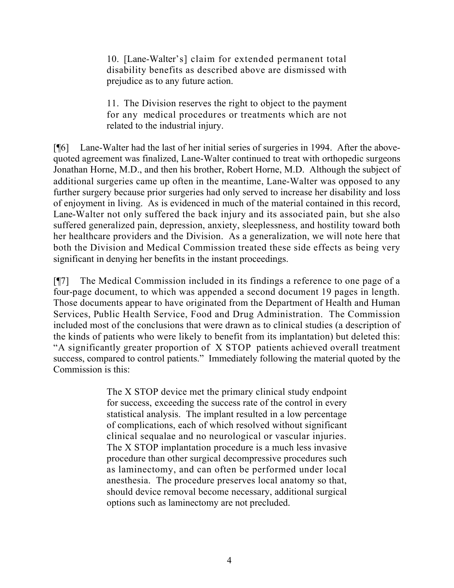10. [Lane-Walter's] claim for extended permanent total disability benefits as described above are dismissed with prejudice as to any future action.

11. The Division reserves the right to object to the payment for any medical procedures or treatments which are not related to the industrial injury.

[¶6] Lane-Walter had the last of her initial series of surgeries in 1994. After the abovequoted agreement was finalized, Lane-Walter continued to treat with orthopedic surgeons Jonathan Horne, M.D., and then his brother, Robert Horne, M.D. Although the subject of additional surgeries came up often in the meantime, Lane-Walter was opposed to any further surgery because prior surgeries had only served to increase her disability and loss of enjoyment in living. As is evidenced in much of the material contained in this record, Lane-Walter not only suffered the back injury and its associated pain, but she also suffered generalized pain, depression, anxiety, sleeplessness, and hostility toward both her healthcare providers and the Division. As a generalization, we will note here that both the Division and Medical Commission treated these side effects as being very significant in denying her benefits in the instant proceedings.

[¶7] The Medical Commission included in its findings a reference to one page of a four-page document, to which was appended a second document 19 pages in length. Those documents appear to have originated from the Department of Health and Human Services, Public Health Service, Food and Drug Administration. The Commission included most of the conclusions that were drawn as to clinical studies (a description of the kinds of patients who were likely to benefit from its implantation) but deleted this: "A significantly greater proportion of X STOP patients achieved overall treatment success, compared to control patients." Immediately following the material quoted by the Commission is this:

> The X STOP device met the primary clinical study endpoint for success, exceeding the success rate of the control in every statistical analysis. The implant resulted in a low percentage of complications, each of which resolved without significant clinical sequalae and no neurological or vascular injuries. The X STOP implantation procedure is a much less invasive procedure than other surgical decompressive procedures such as laminectomy, and can often be performed under local anesthesia. The procedure preserves local anatomy so that, should device removal become necessary, additional surgical options such as laminectomy are not precluded.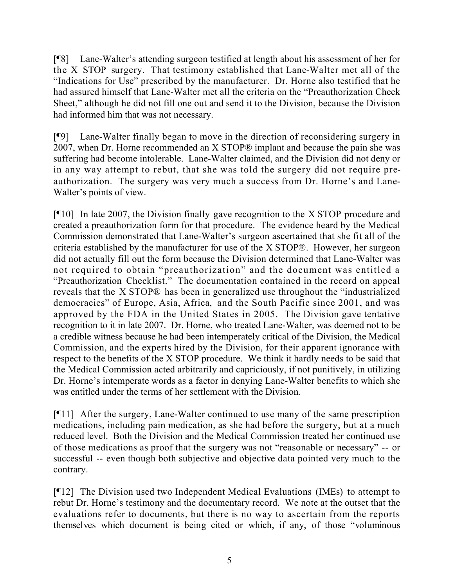[¶8] Lane-Walter's attending surgeon testified at length about his assessment of her for the X STOP surgery. That testimony established that Lane-Walter met all of the "Indications for Use" prescribed by the manufacturer. Dr. Horne also testified that he had assured himself that Lane-Walter met all the criteria on the "Preauthorization Check Sheet," although he did not fill one out and send it to the Division, because the Division had informed him that was not necessary.

[¶9] Lane-Walter finally began to move in the direction of reconsidering surgery in 2007, when Dr. Horne recommended an X STOP® implant and because the pain she was suffering had become intolerable. Lane-Walter claimed, and the Division did not deny or in any way attempt to rebut, that she was told the surgery did not require preauthorization. The surgery was very much a success from Dr. Horne's and Lane-Walter's points of view.

[¶10] In late 2007, the Division finally gave recognition to the X STOP procedure and created a preauthorization form for that procedure. The evidence heard by the Medical Commission demonstrated that Lane-Walter's surgeon ascertained that she fit all of the criteria established by the manufacturer for use of the X STOP®. However, her surgeon did not actually fill out the form because the Division determined that Lane-Walter was not required to obtain "preauthorization" and the document was entitled a "Preauthorization Checklist." The documentation contained in the record on appeal reveals that the X STOP® has been in generalized use throughout the "industrialized democracies" of Europe, Asia, Africa, and the South Pacific since 2001, and was approved by the FDA in the United States in 2005. The Division gave tentative recognition to it in late 2007. Dr. Horne, who treated Lane-Walter, was deemed not to be a credible witness because he had been intemperately critical of the Division, the Medical Commission, and the experts hired by the Division, for their apparent ignorance with respect to the benefits of the X STOP procedure. We think it hardly needs to be said that the Medical Commission acted arbitrarily and capriciously, if not punitively, in utilizing Dr. Horne's intemperate words as a factor in denying Lane-Walter benefits to which she was entitled under the terms of her settlement with the Division.

[¶11] After the surgery, Lane-Walter continued to use many of the same prescription medications, including pain medication, as she had before the surgery, but at a much reduced level. Both the Division and the Medical Commission treated her continued use of those medications as proof that the surgery was not "reasonable or necessary" -- or successful -- even though both subjective and objective data pointed very much to the contrary.

[¶12] The Division used two Independent Medical Evaluations (IMEs) to attempt to rebut Dr. Horne's testimony and the documentary record. We note at the outset that the evaluations refer to documents, but there is no way to ascertain from the reports themselves which document is being cited or which, if any, of those "voluminous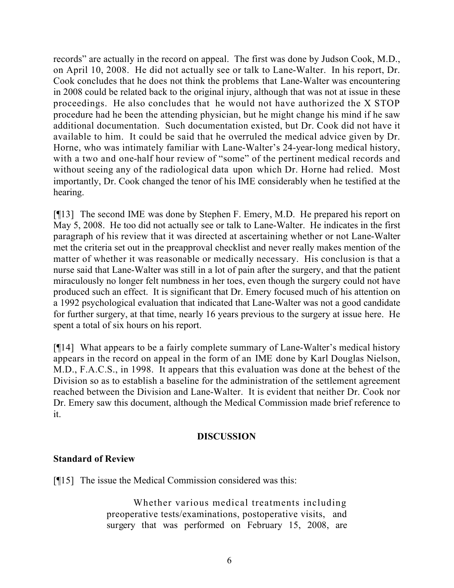records" are actually in the record on appeal. The first was done by Judson Cook, M.D., on April 10, 2008. He did not actually see or talk to Lane-Walter. In his report, Dr. Cook concludes that he does not think the problems that Lane-Walter was encountering in 2008 could be related back to the original injury, although that was not at issue in these proceedings. He also concludes that he would not have authorized the X STOP procedure had he been the attending physician, but he might change his mind if he saw additional documentation. Such documentation existed, but Dr. Cook did not have it available to him. It could be said that he overruled the medical advice given by Dr. Horne, who was intimately familiar with Lane-Walter's 24-year-long medical history, with a two and one-half hour review of "some" of the pertinent medical records and without seeing any of the radiological data upon which Dr. Horne had relied. Most importantly, Dr. Cook changed the tenor of his IME considerably when he testified at the hearing.

[¶13] The second IME was done by Stephen F. Emery, M.D. He prepared his report on May 5, 2008. He too did not actually see or talk to Lane-Walter. He indicates in the first paragraph of his review that it was directed at ascertaining whether or not Lane-Walter met the criteria set out in the preapproval checklist and never really makes mention of the matter of whether it was reasonable or medically necessary. His conclusion is that a nurse said that Lane-Walter was still in a lot of pain after the surgery, and that the patient miraculously no longer felt numbness in her toes, even though the surgery could not have produced such an effect. It is significant that Dr. Emery focused much of his attention on a 1992 psychological evaluation that indicated that Lane-Walter was not a good candidate for further surgery, at that time, nearly 16 years previous to the surgery at issue here. He spent a total of six hours on his report.

[¶14] What appears to be a fairly complete summary of Lane-Walter's medical history appears in the record on appeal in the form of an IME done by Karl Douglas Nielson, M.D., F.A.C.S., in 1998. It appears that this evaluation was done at the behest of the Division so as to establish a baseline for the administration of the settlement agreement reached between the Division and Lane-Walter. It is evident that neither Dr. Cook nor Dr. Emery saw this document, although the Medical Commission made brief reference to it.

# **DISCUSSION**

# **Standard of Review**

[¶15] The issue the Medical Commission considered was this:

Whether various medical treatments including preoperative tests/examinations, postoperative visits, and surgery that was performed on February 15, 2008, are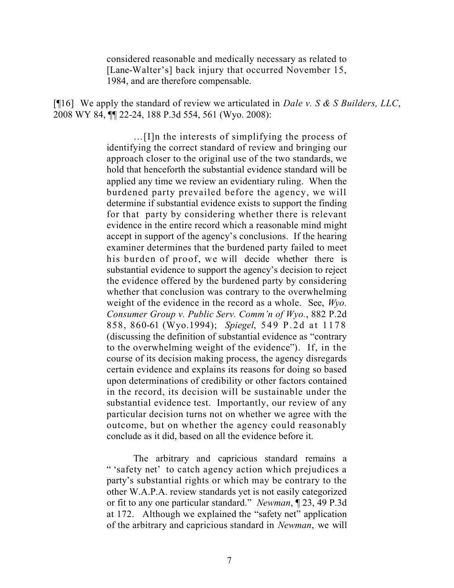considered reasonable and medically necessary as related to [Lane-Walter's] back injury that occurred November 15, 1984, and are therefore compensable.

[¶16] We apply the standard of review we articulated in *Dale v. S & S Builders, LLC*, 2008 WY 84, ¶¶ 22-24, 188 P.3d 554, 561 (Wyo. 2008):

> …[I]n the interests of simplifying the process of identifying the correct standard of review and bringing our approach closer to the original use of the two standards, we hold that henceforth the substantial evidence standard will be applied any time we review an evidentiary ruling. When the burdened party prevailed before the agency, we will determine if substantial evidence exists to support the finding for that party by considering whether there is relevant evidence in the entire record which a reasonable mind might accept in support of the agency's conclusions. If the hearing examiner determines that the burdened party failed to meet his burden of proof, we will decide whether there is substantial evidence to support the agency's decision to reject the evidence offered by the burdened party by considering whether that conclusion was contrary to the overwhelming weight of the evidence in the record as a whole. See, *Wyo. Consumer Group v. Public Serv. Comm'n of Wyo.*, 882 P.2d 858, 860-61 (Wyo.1994); *Spiegel*, 549 P.2d at 1178 (discussing the definition of substantial evidence as "contrary to the overwhelming weight of the evidence"). If, in the course of its decision making process, the agency disregards certain evidence and explains its reasons for doing so based upon determinations of credibility or other factors contained in the record, its decision will be sustainable under the substantial evidence test. Importantly, our review of any particular decision turns not on whether we agree with the outcome, but on whether the agency could reasonably conclude as it did, based on all the evidence before it.

> The arbitrary and capricious standard remains a " 'safety net' to catch agency action which prejudices a party's substantial rights or which may be contrary to the other W.A.P.A. review standards yet is not easily categorized or fit to any one particular standard." *Newman*, ¶ 23, 49 P.3d at 172. Although we explained the "safety net" application of the arbitrary and capricious standard in *Newman*, we will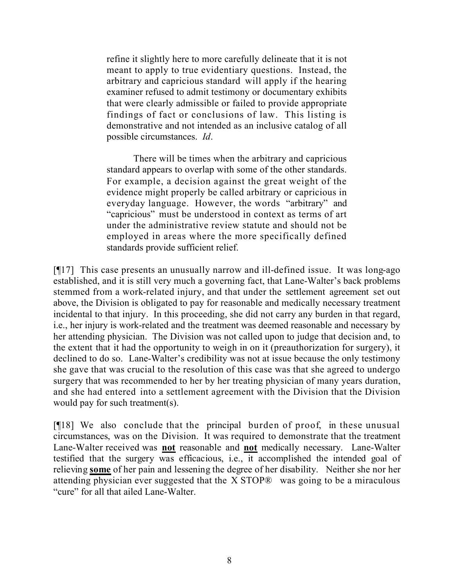refine it slightly here to more carefully delineate that it is not meant to apply to true evidentiary questions. Instead, the arbitrary and capricious standard will apply if the hearing examiner refused to admit testimony or documentary exhibits that were clearly admissible or failed to provide appropriate findings of fact or conclusions of law. This listing is demonstrative and not intended as an inclusive catalog of all possible circumstances. *Id*.

There will be times when the arbitrary and capricious standard appears to overlap with some of the other standards. For example, a decision against the great weight of the evidence might properly be called arbitrary or capricious in everyday language. However, the words "arbitrary" and "capricious" must be understood in context as terms of art under the administrative review statute and should not be employed in areas where the more specifically defined standards provide sufficient relief.

[¶17] This case presents an unusually narrow and ill-defined issue. It was long-ago established, and it is still very much a governing fact, that Lane-Walter's back problems stemmed from a work-related injury, and that under the settlement agreement set out above, the Division is obligated to pay for reasonable and medically necessary treatment incidental to that injury. In this proceeding, she did not carry any burden in that regard, i.e., her injury is work-related and the treatment was deemed reasonable and necessary by her attending physician. The Division was not called upon to judge that decision and, to the extent that it had the opportunity to weigh in on it (preauthorization for surgery), it declined to do so. Lane-Walter's credibility was not at issue because the only testimony she gave that was crucial to the resolution of this case was that she agreed to undergo surgery that was recommended to her by her treating physician of many years duration, and she had entered into a settlement agreement with the Division that the Division would pay for such treatment(s).

[¶18] We also conclude that the principal burden of proof, in these unusual circumstances, was on the Division. It was required to demonstrate that the treatment Lane-Walter received was **not** reasonable and **not** medically necessary. Lane-Walter testified that the surgery was efficacious, i.e., it accomplished the intended goal of relieving **some** of her pain and lessening the degree of her disability. Neither she nor her attending physician ever suggested that the X STOP® was going to be a miraculous "cure" for all that ailed Lane-Walter.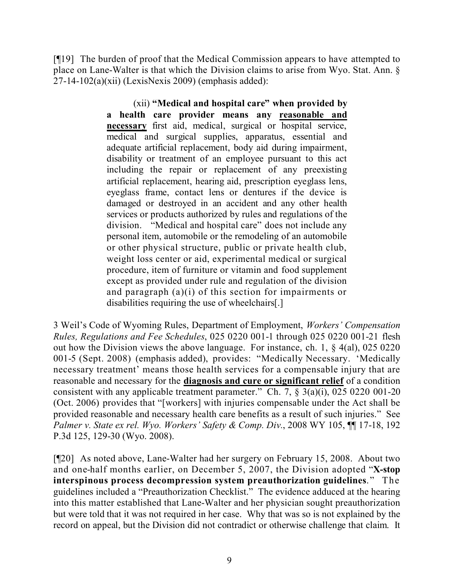[¶19] The burden of proof that the Medical Commission appears to have attempted to place on Lane-Walter is that which the Division claims to arise from Wyo. Stat. Ann. §  $27-14-102(a)(xii)$  (LexisNexis 2009) (emphasis added):

> (xii) **"Medical and hospital care" when provided by a health care provider means any reasonable and necessary** first aid, medical, surgical or hospital service, medical and surgical supplies, apparatus, essential and adequate artificial replacement, body aid during impairment, disability or treatment of an employee pursuant to this act including the repair or replacement of any preexisting artificial replacement, hearing aid, prescription eyeglass lens, eyeglass frame, contact lens or dentures if the device is damaged or destroyed in an accident and any other health services or products authorized by rules and regulations of the division. "Medical and hospital care" does not include any personal item, automobile or the remodeling of an automobile or other physical structure, public or private health club, weight loss center or aid, experimental medical or surgical procedure, item of furniture or vitamin and food supplement except as provided under rule and regulation of the division and paragraph  $(a)(i)$  of this section for impairments or disabilities requiring the use of wheelchairs[.]

3 Weil's Code of Wyoming Rules, Department of Employment, *Workers' Compensation Rules, Regulations and Fee Schedules*, 025 0220 001-1 through 025 0220 001-21 flesh out how the Division views the above language. For instance, ch. 1, § 4(al), 025 0220 001-5 (Sept. 2008) (emphasis added), provides: "Medically Necessary. 'Medically necessary treatment' means those health services for a compensable injury that are reasonable and necessary for the **diagnosis and cure or significant relief** of a condition consistent with any applicable treatment parameter." Ch. 7,  $\S$  3(a)(i), 025 0220 001-20 (Oct. 2006) provides that "[workers] with injuries compensable under the Act shall be provided reasonable and necessary health care benefits as a result of such injuries." See *Palmer v. State ex rel. Wyo. Workers' Safety & Comp. Div.*, 2008 WY 105, ¶¶ 17-18, 192 P.3d 125, 129-30 (Wyo. 2008).

[¶20] As noted above, Lane-Walter had her surgery on February 15, 2008. About two and one-half months earlier, on December 5, 2007, the Division adopted "**X-stop interspinous process decompression system preauthorization guidelines**." The guidelines included a "Preauthorization Checklist." The evidence adduced at the hearing into this matter established that Lane-Walter and her physician sought preauthorization but were told that it was not required in her case. Why that was so is not explained by the record on appeal, but the Division did not contradict or otherwise challenge that claim. It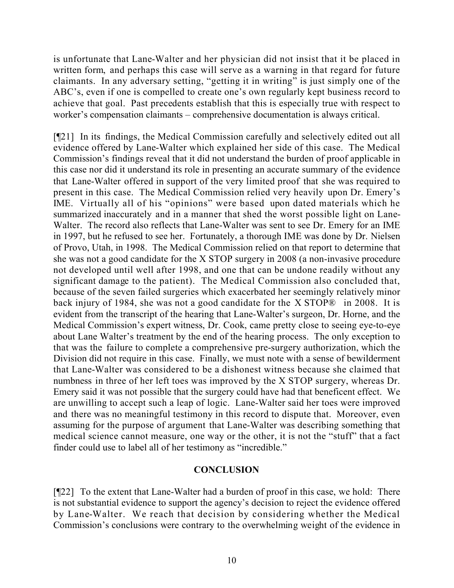is unfortunate that Lane-Walter and her physician did not insist that it be placed in written form, and perhaps this case will serve as a warning in that regard for future claimants. In any adversary setting, "getting it in writing" is just simply one of the ABC's, even if one is compelled to create one's own regularly kept business record to achieve that goal. Past precedents establish that this is especially true with respect to worker's compensation claimants – comprehensive documentation is always critical.

[¶21] In its findings, the Medical Commission carefully and selectively edited out all evidence offered by Lane-Walter which explained her side of this case. The Medical Commission's findings reveal that it did not understand the burden of proof applicable in this case nor did it understand its role in presenting an accurate summary of the evidence that Lane-Walter offered in support of the very limited proof that she was required to present in this case. The Medical Commission relied very heavily upon Dr. Emery's IME. Virtually all of his "opinions" were based upon dated materials which he summarized inaccurately and in a manner that shed the worst possible light on Lane-Walter. The record also reflects that Lane-Walter was sent to see Dr. Emery for an IME in 1997, but he refused to see her. Fortunately, a thorough IME was done by Dr. Nielsen of Provo, Utah, in 1998. The Medical Commission relied on that report to determine that she was not a good candidate for the X STOP surgery in 2008 (a non-invasive procedure not developed until well after 1998, and one that can be undone readily without any significant damage to the patient). The Medical Commission also concluded that, because of the seven failed surgeries which exacerbated her seemingly relatively minor back injury of 1984, she was not a good candidate for the X STOP<sup>®</sup> in 2008. It is evident from the transcript of the hearing that Lane-Walter's surgeon, Dr. Horne, and the Medical Commission's expert witness, Dr. Cook, came pretty close to seeing eye-to-eye about Lane Walter's treatment by the end of the hearing process. The only exception to that was the failure to complete a comprehensive pre-surgery authorization, which the Division did not require in this case. Finally, we must note with a sense of bewilderment that Lane-Walter was considered to be a dishonest witness because she claimed that numbness in three of her left toes was improved by the X STOP surgery, whereas Dr. Emery said it was not possible that the surgery could have had that beneficent effect. We are unwilling to accept such a leap of logic. Lane-Walter said her toes were improved and there was no meaningful testimony in this record to dispute that. Moreover, even assuming for the purpose of argument that Lane-Walter was describing something that medical science cannot measure, one way or the other, it is not the "stuff" that a fact finder could use to label all of her testimony as "incredible."

# **CONCLUSION**

[¶22] To the extent that Lane-Walter had a burden of proof in this case, we hold: There is not substantial evidence to support the agency's decision to reject the evidence offered by Lane-Walter. We reach that decision by considering whether the Medical Commission's conclusions were contrary to the overwhelming weight of the evidence in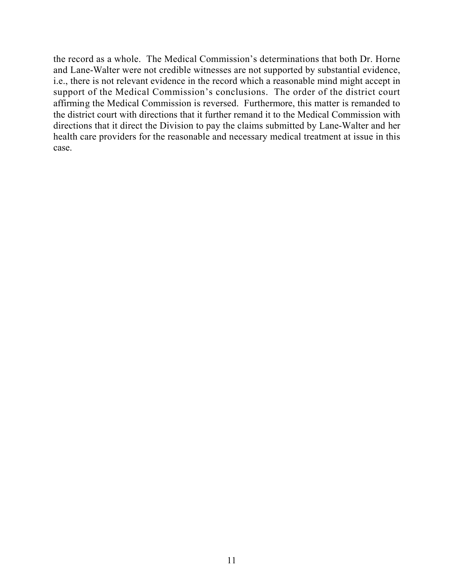the record as a whole. The Medical Commission's determinations that both Dr. Horne and Lane-Walter were not credible witnesses are not supported by substantial evidence, i.e., there is not relevant evidence in the record which a reasonable mind might accept in support of the Medical Commission's conclusions. The order of the district court affirming the Medical Commission is reversed. Furthermore, this matter is remanded to the district court with directions that it further remand it to the Medical Commission with directions that it direct the Division to pay the claims submitted by Lane-Walter and her health care providers for the reasonable and necessary medical treatment at issue in this case.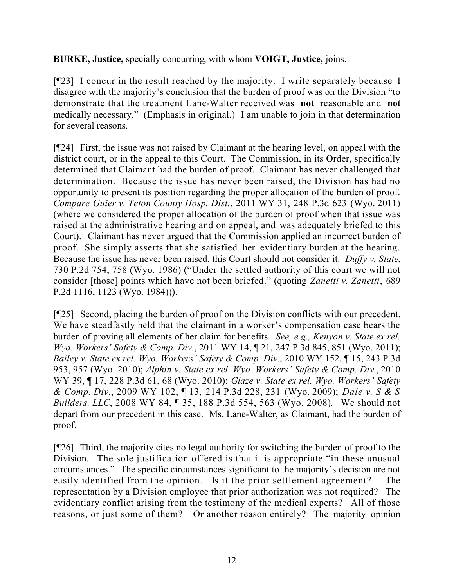**BURKE, Justice,** specially concurring, with whom **VOIGT, Justice,** joins.

[¶23] I concur in the result reached by the majority. I write separately because I disagree with the majority's conclusion that the burden of proof was on the Division "to demonstrate that the treatment Lane-Walter received was **not** reasonable and **not** medically necessary." (Emphasis in original.) I am unable to join in that determination for several reasons.

[¶24] First, the issue was not raised by Claimant at the hearing level, on appeal with the district court, or in the appeal to this Court. The Commission, in its Order, specifically determined that Claimant had the burden of proof. Claimant has never challenged that determination. Because the issue has never been raised, the Division has had no opportunity to present its position regarding the proper allocation of the burden of proof. *Compare Guier v. Teton County Hosp. Dist.*, 2011 WY 31, 248 P.3d 623 (Wyo. 2011) (where we considered the proper allocation of the burden of proof when that issue was raised at the administrative hearing and on appeal, and was adequately briefed to this Court). Claimant has never argued that the Commission applied an incorrect burden of proof. She simply asserts that she satisfied her evidentiary burden at the hearing. Because the issue has never been raised, this Court should not consider it. *Duffy v. State*, 730 P.2d 754, 758 (Wyo. 1986) ("Under the settled authority of this court we will not consider [those] points which have not been briefed." (quoting *Zanetti v. Zanetti*, 689 P.2d 1116, 1123 (Wyo. 1984))).

[¶25] Second, placing the burden of proof on the Division conflicts with our precedent. We have steadfastly held that the claimant in a worker's compensation case bears the burden of proving all elements of her claim for benefits. *See, e.g., Kenyon v. State ex rel. Wyo. Workers' Safety & Comp. Div.*, 2011 WY 14, ¶ 21, 247 P.3d 845, 851 (Wyo. 2011); *Bailey v. State ex rel. Wyo. Workers' Safety & Comp. Div.*, 2010 WY 152, ¶ 15, 243 P.3d 953, 957 (Wyo. 2010); *Alphin v. State ex rel. Wyo. Workers' Safety & Comp. Div*., 2010 WY 39, ¶ 17, 228 P.3d 61, 68 (Wyo. 2010); *Glaze v. State ex rel. Wyo. Workers' Safety & Comp. Div.*, 2009 WY 102, ¶ 13, 214 P.3d 228, 231 (Wyo. 2009); *Dale v. S & S Builders, LLC*, 2008 WY 84, ¶ 35, 188 P.3d 554, 563 (Wyo. 2008). We should not depart from our precedent in this case. Ms. Lane-Walter, as Claimant, had the burden of proof.

[¶26] Third, the majority cites no legal authority for switching the burden of proof to the Division. The sole justification offered is that it is appropriate "in these unusual circumstances." The specific circumstances significant to the majority's decision are not easily identified from the opinion. Is it the prior settlement agreement? The representation by a Division employee that prior authorization was not required? The evidentiary conflict arising from the testimony of the medical experts? All of those reasons, or just some of them? Or another reason entirely? The majority opinion